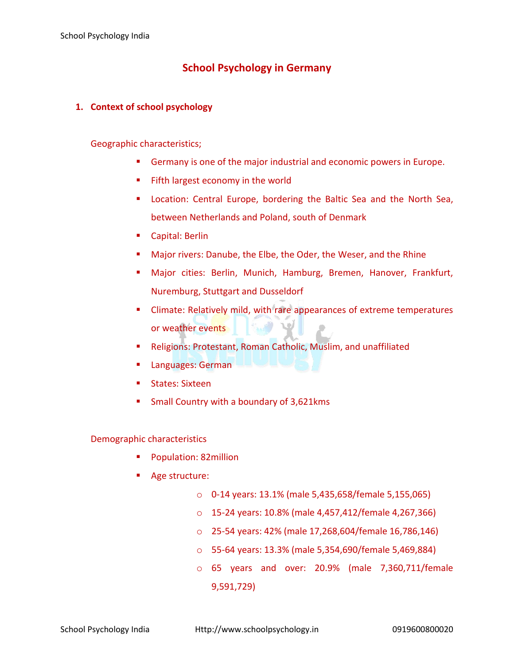# **School Psychology in Germany**

## **1. Context of school psychology**

### Geographic characteristics;

- **Germany is one of the major industrial and economic powers in Europe.**
- Fifth largest economy in the world
- Location: Central Europe, bordering the Baltic Sea and the North Sea, between Netherlands and Poland, south of Denmark
- Capital: Berlin
- **Major rivers: Danube, the Elbe, the Oder, the Weser, and the Rhine**
- Major cities: Berlin, Munich, Hamburg, Bremen, Hanover, Frankfurt, Nuremburg, Stuttgart and Dusseldorf
- **EXECLIME:** Climate: Relatively mild, with rare appearances of extreme temperatures or weather events
- Religions: Protestant, Roman Catholic, Muslim, and unaffiliated
- Languages: German
- States: Sixteen
- Small Country with a boundary of 3,621kms

### Demographic characteristics

- Population: 82million
- Age structure:
	- o 0-14 years: 13.1% (male 5,435,658/female 5,155,065)
	- o 15-24 years: 10.8% (male 4,457,412/female 4,267,366)
	- o 25-54 years: 42% (male 17,268,604/female 16,786,146)
	- o 55-64 years: 13.3% (male 5,354,690/female 5,469,884)
	- o 65 years and over: 20.9% (male 7,360,711/female 9,591,729)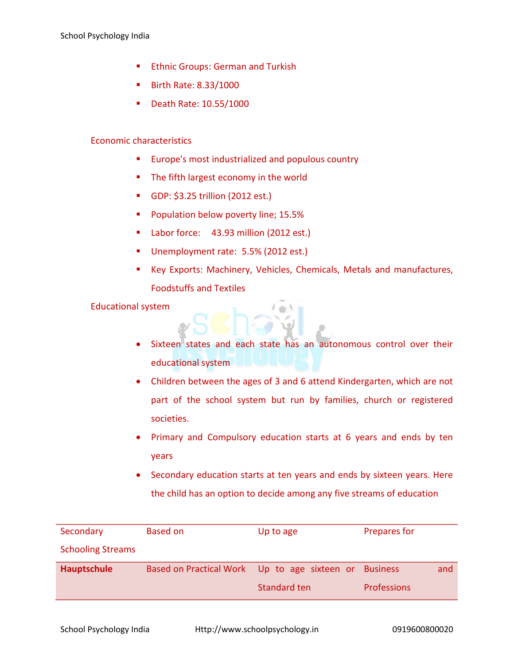- **Ethnic Groups: German and Turkish**
- Birth Rate: 8.33/1000
- Death Rate: 10.55/1000

#### Economic characteristics

- **Europe's most industrialized and populous country**
- **The fifth largest economy in the world**
- GDP: \$3.25 trillion (2012 est.)
- **Population below poverty line; 15.5%**
- Labor force: 43.93 million (2012 est.)
- Unemployment rate: 5.5% (2012 est.)
- Key Exports: Machinery, Vehicles, Chemicals, Metals and manufactures, Foodstuffs and Textiles

#### Educational system

- Sixteen states and each state has an autonomous control over their educational system
- Children between the ages of 3 and 6 attend Kindergarten, which are not part of the school system but run by families, church or registered societies.
- Primary and Compulsory education starts at 6 years and ends by ten years
- Secondary education starts at ten years and ends by sixteen years. Here the child has an option to decide among any five streams of education

| Secondary                | <b>Based on</b>                                       | Up to age    | Prepares for       |
|--------------------------|-------------------------------------------------------|--------------|--------------------|
| <b>Schooling Streams</b> |                                                       |              |                    |
| Hauptschule              | Based on Practical Work Up to age sixteen or Business |              | and                |
|                          |                                                       | Standard ten | <b>Professions</b> |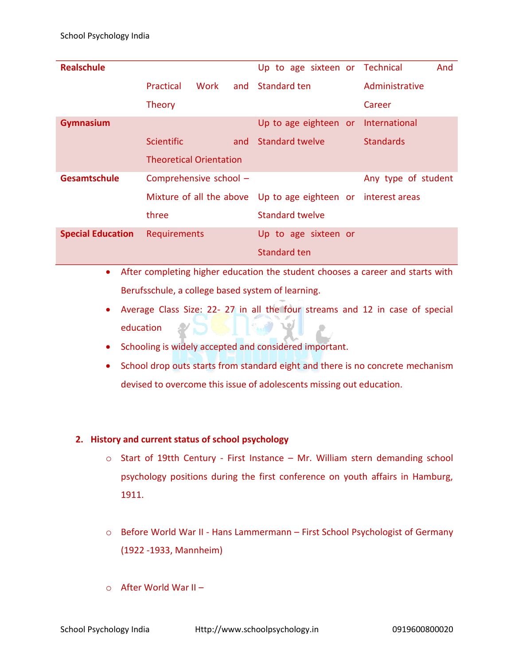| <b>Realschule</b>        |                                |     | Up to age sixteen or Technical                                |                     | And |
|--------------------------|--------------------------------|-----|---------------------------------------------------------------|---------------------|-----|
|                          | <b>Practical</b><br>Work       |     | and Standard ten                                              | Administrative      |     |
|                          | <b>Theory</b>                  |     |                                                               | Career              |     |
| Gymnasium                |                                |     | Up to age eighteen or                                         | International       |     |
|                          | <b>Scientific</b>              | and | Standard twelve                                               | <b>Standards</b>    |     |
|                          | <b>Theoretical Orientation</b> |     |                                                               |                     |     |
| Gesamtschule             | Comprehensive school -         |     |                                                               | Any type of student |     |
|                          |                                |     | Mixture of all the above Up to age eighteen or interest areas |                     |     |
|                          | three                          |     | <b>Standard twelve</b>                                        |                     |     |
| <b>Special Education</b> | Requirements                   |     | Up to age sixteen or                                          |                     |     |
|                          |                                |     | Standard ten                                                  |                     |     |

- After completing higher education the student chooses a career and starts with Berufsschule, a college based system of learning.
- Average Class Size: 22- 27 in all the four streams and 12 in case of special education
- Schooling is widely accepted and considered important.
- School drop outs starts from standard eight and there is no concrete mechanism devised to overcome this issue of adolescents missing out education.

### **2. History and current status of school psychology**

- o Start of 19tth Century First Instance Mr. William stern demanding school psychology positions during the first conference on youth affairs in Hamburg, 1911.
- o Before World War II Hans Lammermann First School Psychologist of Germany (1922 -1933, Mannheim)
- $\circ$  After World War II –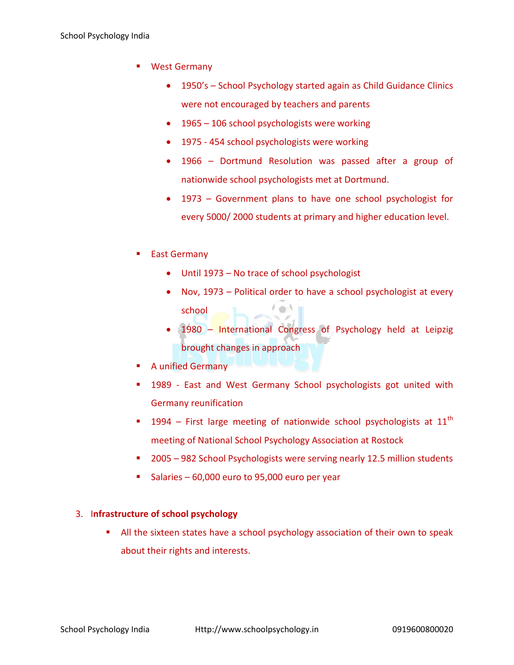- **West Germany** 
	- 1950's School Psychology started again as Child Guidance Clinics were not encouraged by teachers and parents
	- 1965 106 school psychologists were working
	- 1975 454 school psychologists were working
	- 1966 Dortmund Resolution was passed after a group of nationwide school psychologists met at Dortmund.
	- 1973 Government plans to have one school psychologist for every 5000/ 2000 students at primary and higher education level.
- East Germany
	- Until 1973 No trace of school psychologist
	- Nov, 1973 Political order to have a school psychologist at every school
	- 1980 International Congress of Psychology held at Leipzig brought changes in approach
- A unified Germany
- 1989 East and West Germany School psychologists got united with Germany reunification
- **1994** First large meeting of nationwide school psychologists at 11<sup>th</sup> meeting of National School Psychology Association at Rostock
- 2005 982 School Psychologists were serving nearly 12.5 million students
- Salaries 60,000 euro to 95,000 euro per year

### 3. I**nfrastructure of school psychology**

 All the sixteen states have a school psychology association of their own to speak about their rights and interests.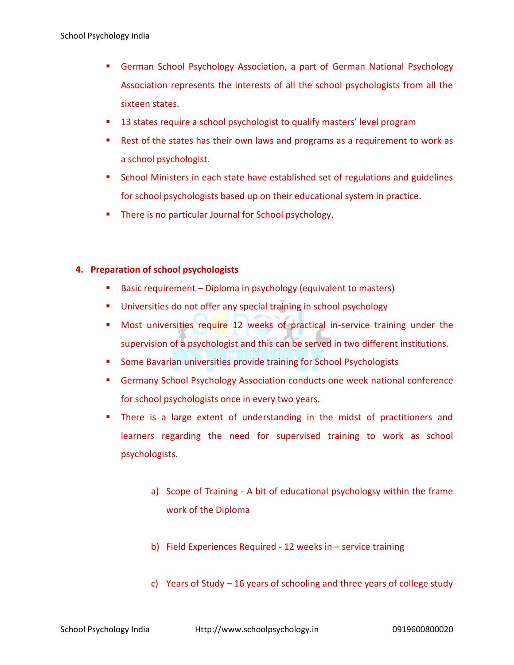- German School Psychology Association, a part of German National Psychology Association represents the interests of all the school psychologists from all the sixteen states.
- **13 states require a school psychologist to qualify masters' level program**
- Rest of the states has their own laws and programs as a requirement to work as a school psychologist.
- School Ministers in each state have established set of regulations and guidelines for school psychologists based up on their educational system in practice.
- **There is no particular Journal for School psychology.**

# **4. Preparation of school psychologists**

- **Basic requirement Diploma in psychology (equivalent to masters)**
- **Universities do not offer any special training in school psychology**
- **Most universities require 12 weeks of practical in-service training under the** supervision of a psychologist and this can be served in two different institutions.
- **Some Bavarian universities provide training for School Psychologists**
- **Germany School Psychology Association conducts one week national conference** for school psychologists once in every two years.
- There is a large extent of understanding in the midst of practitioners and learners regarding the need for supervised training to work as school psychologists.
	- a) Scope of Training A bit of educational psychologsy within the frame work of the Diploma
	- b) Field Experiences Required 12 weeks in service training
	- c) Years of Study 16 years of schooling and three years of college study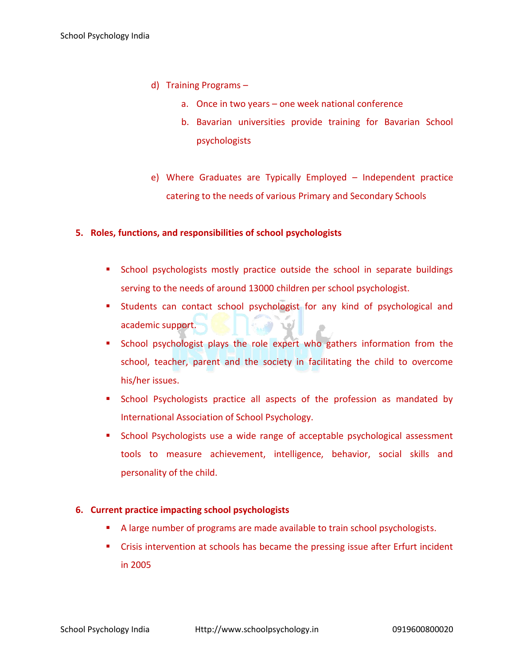- d) Training Programs
	- a. Once in two years one week national conference
	- b. Bavarian universities provide training for Bavarian School psychologists
- e) Where Graduates are Typically Employed Independent practice catering to the needs of various Primary and Secondary Schools

### **5. Roles, functions, and responsibilities of school psychologists**

- **School psychologists mostly practice outside the school in separate buildings** serving to the needs of around 13000 children per school psychologist.
- **EXTENDING STATES STATES EXTENDING IS STATES STATES STATES EXTENDING IS STATES STATES IN STATES EXTENDING IS ST** academic support.
- **School psychologist plays the role expert who gathers information from the** school, teacher, parent and the society in facilitating the child to overcome his/her issues.
- **School Psychologists practice all aspects of the profession as mandated by** International Association of School Psychology.
- School Psychologists use a wide range of acceptable psychological assessment tools to measure achievement, intelligence, behavior, social skills and personality of the child.

### **6. Current practice impacting school psychologists**

- A large number of programs are made available to train school psychologists.
- Crisis intervention at schools has became the pressing issue after Erfurt incident in 2005